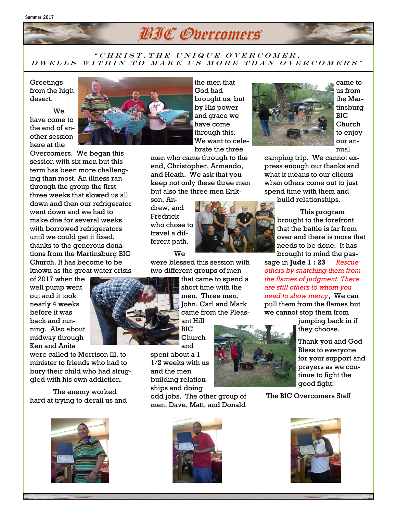

## $"CHRIST, THE\ UNIQUE\ OVERCOMER.$ D WELLS WITHIN TO MAKE US MORE THAN OVERCOMERS"

Greetings from the high desert.

We have come to the end of another session here at the

Overcomers. We began this session with six men but this term has been more challenging than most. An illness ran through the group the first three weeks that slowed us all down and then our refrigerator went down and we had to make due for several weeks with borrowed refrigerators until we could get it fixed, thanks to the generous donations from the Martinsburg BIC Church. It has become to be known as the great water crisis

of 2017 when the well pump went out and it took nearly 4 weeks before it was back and running. Also about midway through Ken and Anita

were called to Morrison Ill. to minister to friends who had to bury their child who had struggled with his own addiction.

The enemy worked hard at trying to derail us and





the men that God had brought us, but by His power and grace we have come through this. We want to celebrate the three

men who came through to the end, Christopher, Armando, and Heath. We ask that you keep not only these three men but also the three men Erik-

son, Andrew, and Fredrick who chose to travel a different path.

We

were blessed this session with two different groups of men

> that came to spend a short time with the men. Three men, John, Carl and Mark came from the Pleasant Hill

BIC Church and

spent about a 1 1/2 weeks with us and the men building relationships and doing

odd jobs. The other group of men, Dave, Matt, and Donald





came to us from the Martinsburg BIC Church to enjoy our annual

camping trip. We cannot express enough our thanks and what it means to our clients when others come out to just spend time with them and build relationships.

> This program brought to the forefront that the battle is far from over and there is more that needs to be done. It has brought to mind the pas-

sage in **Jude 1 : 23** *Rescue others by snatching them from the flames of judgment. There are still others to whom you need to show mercy*, We can pull them from the flames but we cannot stop them from

jumping back in if they choose.

Thank you and God Bless to everyone for your support and prayers as we continue to fight the good fight.

The BIC Overcomers Staff